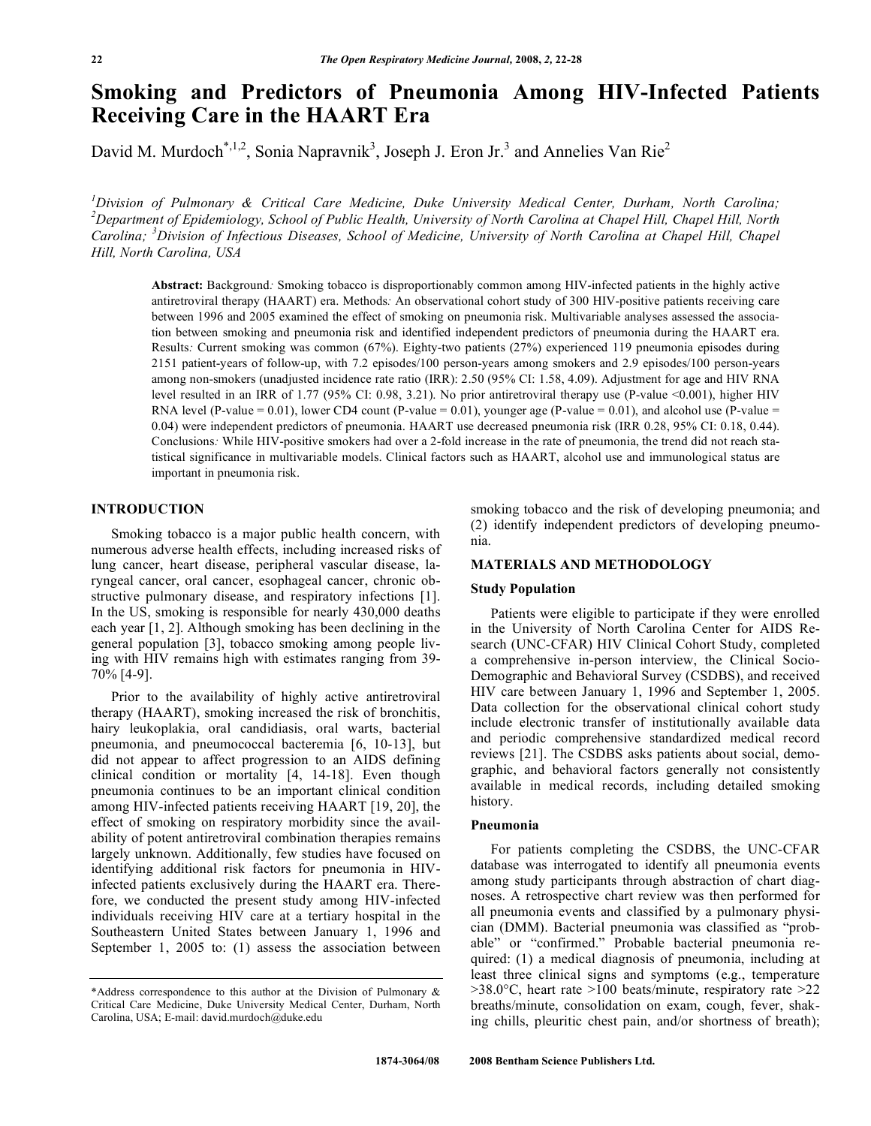# **Smoking and Predictors of Pneumonia Among HIV-Infected Patients Receiving Care in the HAART Era**

David M. Murdoch<sup>\*,1,2</sup>, Sonia Napravnik<sup>3</sup>, Joseph J. Eron Jr.<sup>3</sup> and Annelies Van Rie<sup>2</sup>

*1 Division of Pulmonary & Critical Care Medicine, Duke University Medical Center, Durham, North Carolina; 2 Department of Epidemiology, School of Public Health, University of North Carolina at Chapel Hill, Chapel Hill, North Carolina; <sup>3</sup> Division of Infectious Diseases, School of Medicine, University of North Carolina at Chapel Hill, Chapel Hill, North Carolina, USA* 

**Abstract:** Background*:* Smoking tobacco is disproportionably common among HIV-infected patients in the highly active antiretroviral therapy (HAART) era. Methods*:* An observational cohort study of 300 HIV-positive patients receiving care between 1996 and 2005 examined the effect of smoking on pneumonia risk. Multivariable analyses assessed the association between smoking and pneumonia risk and identified independent predictors of pneumonia during the HAART era. Results*:* Current smoking was common (67%). Eighty-two patients (27%) experienced 119 pneumonia episodes during 2151 patient-years of follow-up, with 7.2 episodes/100 person-years among smokers and 2.9 episodes/100 person-years among non-smokers (unadjusted incidence rate ratio (IRR): 2.50 (95% CI: 1.58, 4.09). Adjustment for age and HIV RNA level resulted in an IRR of 1.77 (95% CI: 0.98, 3.21). No prior antiretroviral therapy use (P-value <0.001), higher HIV RNA level (P-value = 0.01), lower CD4 count (P-value = 0.01), younger age (P-value = 0.01), and alcohol use (P-value = 0.04) were independent predictors of pneumonia. HAART use decreased pneumonia risk (IRR 0.28, 95% CI: 0.18, 0.44). Conclusions*:* While HIV-positive smokers had over a 2-fold increase in the rate of pneumonia, the trend did not reach statistical significance in multivariable models. Clinical factors such as HAART, alcohol use and immunological status are important in pneumonia risk.

## **INTRODUCTION**

 Smoking tobacco is a major public health concern, with numerous adverse health effects, including increased risks of lung cancer, heart disease, peripheral vascular disease, laryngeal cancer, oral cancer, esophageal cancer, chronic obstructive pulmonary disease, and respiratory infections [1]. In the US, smoking is responsible for nearly 430,000 deaths each year [1, 2]. Although smoking has been declining in the general population [3], tobacco smoking among people living with HIV remains high with estimates ranging from 39- 70% [4-9].

 Prior to the availability of highly active antiretroviral therapy (HAART), smoking increased the risk of bronchitis, hairy leukoplakia, oral candidiasis, oral warts, bacterial pneumonia, and pneumococcal bacteremia [6, 10-13], but did not appear to affect progression to an AIDS defining clinical condition or mortality [4, 14-18]. Even though pneumonia continues to be an important clinical condition among HIV-infected patients receiving HAART [19, 20], the effect of smoking on respiratory morbidity since the availability of potent antiretroviral combination therapies remains largely unknown. Additionally, few studies have focused on identifying additional risk factors for pneumonia in HIVinfected patients exclusively during the HAART era. Therefore, we conducted the present study among HIV-infected individuals receiving HIV care at a tertiary hospital in the Southeastern United States between January 1, 1996 and September 1, 2005 to: (1) assess the association between

smoking tobacco and the risk of developing pneumonia; and (2) identify independent predictors of developing pneumonia.

# **MATERIALS AND METHODOLOGY**

#### **Study Population**

 Patients were eligible to participate if they were enrolled in the University of North Carolina Center for AIDS Research (UNC-CFAR) HIV Clinical Cohort Study, completed a comprehensive in-person interview, the Clinical Socio-Demographic and Behavioral Survey (CSDBS), and received HIV care between January 1, 1996 and September 1, 2005. Data collection for the observational clinical cohort study include electronic transfer of institutionally available data and periodic comprehensive standardized medical record reviews [21]. The CSDBS asks patients about social, demographic, and behavioral factors generally not consistently available in medical records, including detailed smoking history.

#### **Pneumonia**

 For patients completing the CSDBS, the UNC-CFAR database was interrogated to identify all pneumonia events among study participants through abstraction of chart diagnoses. A retrospective chart review was then performed for all pneumonia events and classified by a pulmonary physician (DMM). Bacterial pneumonia was classified as "probable" or "confirmed." Probable bacterial pneumonia required: (1) a medical diagnosis of pneumonia, including at least three clinical signs and symptoms (e.g., temperature  $>38.0$ °C, heart rate  $>100$  beats/minute, respiratory rate  $>22$ breaths/minute, consolidation on exam, cough, fever, shaking chills, pleuritic chest pain, and/or shortness of breath);

<sup>\*</sup>Address correspondence to this author at the Division of Pulmonary  $\&$ Critical Care Medicine, Duke University Medical Center, Durham, North Carolina, USA; E-mail: david.murdoch@duke.edu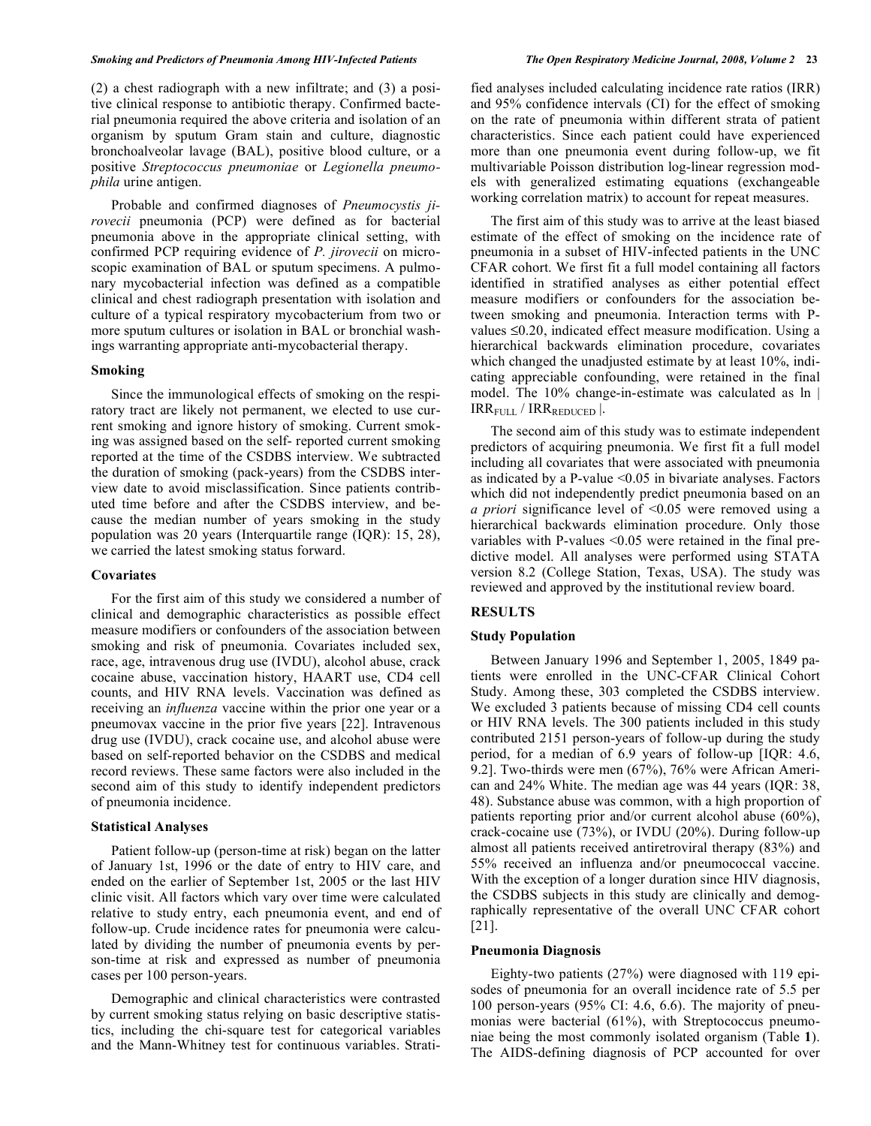(2) a chest radiograph with a new infiltrate; and (3) a positive clinical response to antibiotic therapy. Confirmed bacterial pneumonia required the above criteria and isolation of an organism by sputum Gram stain and culture, diagnostic bronchoalveolar lavage (BAL), positive blood culture, or a positive *Streptococcus pneumoniae* or *Legionella pneumophila* urine antigen.

 Probable and confirmed diagnoses of *Pneumocystis jirovecii* pneumonia (PCP) were defined as for bacterial pneumonia above in the appropriate clinical setting, with confirmed PCP requiring evidence of *P. jirovecii* on microscopic examination of BAL or sputum specimens. A pulmonary mycobacterial infection was defined as a compatible clinical and chest radiograph presentation with isolation and culture of a typical respiratory mycobacterium from two or more sputum cultures or isolation in BAL or bronchial washings warranting appropriate anti-mycobacterial therapy.

#### **Smoking**

 Since the immunological effects of smoking on the respiratory tract are likely not permanent, we elected to use current smoking and ignore history of smoking. Current smoking was assigned based on the self- reported current smoking reported at the time of the CSDBS interview. We subtracted the duration of smoking (pack-years) from the CSDBS interview date to avoid misclassification. Since patients contributed time before and after the CSDBS interview, and because the median number of years smoking in the study population was 20 years (Interquartile range (IQR): 15, 28), we carried the latest smoking status forward.

#### **Covariates**

 For the first aim of this study we considered a number of clinical and demographic characteristics as possible effect measure modifiers or confounders of the association between smoking and risk of pneumonia. Covariates included sex, race, age, intravenous drug use (IVDU), alcohol abuse, crack cocaine abuse, vaccination history, HAART use, CD4 cell counts, and HIV RNA levels. Vaccination was defined as receiving an *influenza* vaccine within the prior one year or a pneumovax vaccine in the prior five years [22]. Intravenous drug use (IVDU), crack cocaine use, and alcohol abuse were based on self-reported behavior on the CSDBS and medical record reviews. These same factors were also included in the second aim of this study to identify independent predictors of pneumonia incidence.

## **Statistical Analyses**

 Patient follow-up (person-time at risk) began on the latter of January 1st, 1996 or the date of entry to HIV care, and ended on the earlier of September 1st, 2005 or the last HIV clinic visit. All factors which vary over time were calculated relative to study entry, each pneumonia event, and end of follow-up. Crude incidence rates for pneumonia were calculated by dividing the number of pneumonia events by person-time at risk and expressed as number of pneumonia cases per 100 person-years.

 Demographic and clinical characteristics were contrasted by current smoking status relying on basic descriptive statistics, including the chi-square test for categorical variables and the Mann-Whitney test for continuous variables. Stratified analyses included calculating incidence rate ratios (IRR) and 95% confidence intervals (CI) for the effect of smoking on the rate of pneumonia within different strata of patient characteristics. Since each patient could have experienced more than one pneumonia event during follow-up, we fit multivariable Poisson distribution log-linear regression models with generalized estimating equations (exchangeable working correlation matrix) to account for repeat measures.

 The first aim of this study was to arrive at the least biased estimate of the effect of smoking on the incidence rate of pneumonia in a subset of HIV-infected patients in the UNC CFAR cohort. We first fit a full model containing all factors identified in stratified analyses as either potential effect measure modifiers or confounders for the association between smoking and pneumonia. Interaction terms with Pvalues  $\leq 0.20$ , indicated effect measure modification. Using a hierarchical backwards elimination procedure, covariates which changed the unadjusted estimate by at least 10%, indicating appreciable confounding, were retained in the final model. The 10% change-in-estimate was calculated as ln |  $IRR<sub>FIII</sub>$  /  $IRR<sub>FDICFD</sub>$ .

 The second aim of this study was to estimate independent predictors of acquiring pneumonia. We first fit a full model including all covariates that were associated with pneumonia as indicated by a P-value <0.05 in bivariate analyses. Factors which did not independently predict pneumonia based on an *a priori* significance level of <0.05 were removed using a hierarchical backwards elimination procedure. Only those variables with P-values <0.05 were retained in the final predictive model. All analyses were performed using STATA version 8.2 (College Station, Texas, USA). The study was reviewed and approved by the institutional review board.

## **RESULTS**

#### **Study Population**

 Between January 1996 and September 1, 2005, 1849 patients were enrolled in the UNC-CFAR Clinical Cohort Study. Among these, 303 completed the CSDBS interview. We excluded 3 patients because of missing CD4 cell counts or HIV RNA levels. The 300 patients included in this study contributed 2151 person-years of follow-up during the study period, for a median of 6.9 years of follow-up [IQR: 4.6, 9.2]. Two-thirds were men (67%), 76% were African American and 24% White. The median age was 44 years (IQR: 38, 48). Substance abuse was common, with a high proportion of patients reporting prior and/or current alcohol abuse (60%), crack-cocaine use (73%), or IVDU (20%). During follow-up almost all patients received antiretroviral therapy (83%) and 55% received an influenza and/or pneumococcal vaccine. With the exception of a longer duration since HIV diagnosis, the CSDBS subjects in this study are clinically and demographically representative of the overall UNC CFAR cohort [21].

## **Pneumonia Diagnosis**

 Eighty-two patients (27%) were diagnosed with 119 episodes of pneumonia for an overall incidence rate of 5.5 per 100 person-years (95% CI: 4.6, 6.6). The majority of pneumonias were bacterial (61%), with Streptococcus pneumoniae being the most commonly isolated organism (Table **1**). The AIDS-defining diagnosis of PCP accounted for over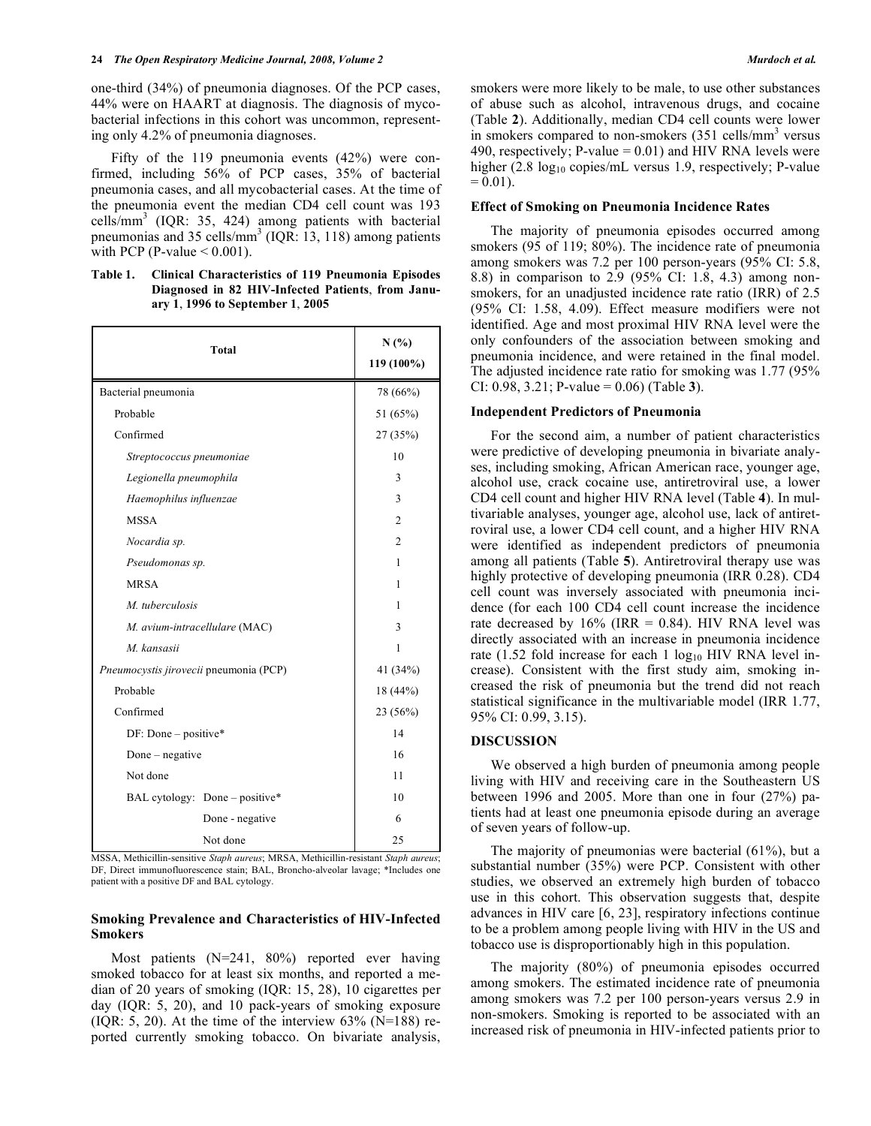one-third (34%) of pneumonia diagnoses. Of the PCP cases, 44% were on HAART at diagnosis. The diagnosis of mycobacterial infections in this cohort was uncommon, representing only 4.2% of pneumonia diagnoses.

 Fifty of the 119 pneumonia events (42%) were confirmed, including 56% of PCP cases, 35% of bacterial pneumonia cases, and all mycobacterial cases. At the time of the pneumonia event the median CD4 cell count was 193 cells/mm<sup>3</sup> (IQR: 35, 424) among patients with bacterial pneumonias and 35 cells/ $\text{mm}^3$  (IQR: 13, 118) among patients with PCP (P-value  $\leq 0.001$ ).

**Table 1. Clinical Characteristics of 119 Pneumonia Episodes Diagnosed in 82 HIV-Infected Patients**, **from January 1**, **1996 to September 1**, **2005** 

| <b>Total</b>                           | N(%)<br>119 (100%) |
|----------------------------------------|--------------------|
| Bacterial pneumonia                    | 78 (66%)           |
| Probable                               | 51 (65%)           |
| Confirmed                              | 27 (35%)           |
| Streptococcus pneumoniae               | 10                 |
| Legionella pneumophila                 | 3                  |
| Haemophilus influenzae                 | 3                  |
| <b>MSSA</b>                            | $\overline{c}$     |
| Nocardia sp.                           | $\overline{c}$     |
| Pseudomonas sp.                        | 1                  |
| <b>MRSA</b>                            | 1                  |
| M. tuberculosis                        | 1                  |
| M. avium-intracellulare (MAC)          | 3                  |
| M. kansasii                            | 1                  |
| Pneumocystis jirovecii pneumonia (PCP) | 41 (34%)           |
| Probable                               | 18 (44%)           |
| Confirmed                              | 23 (56%)           |
| $DF: Done - positive*$                 | 14                 |
| Done $-$ negative                      | 16                 |
| Not done                               | 11                 |
| BAL cytology: Done – positive*         | 10                 |
| Done - negative                        | 6                  |
| Not done                               | 25                 |

MSSA, Methicillin-sensitive *Staph aureus*; MRSA, Methicillin-resistant *Staph aureus*; DF, Direct immunofluorescence stain; BAL, Broncho-alveolar lavage; \*Includes one patient with a positive DF and BAL cytology.

## **Smoking Prevalence and Characteristics of HIV-Infected Smokers**

 Most patients (N=241, 80%) reported ever having smoked tobacco for at least six months, and reported a median of 20 years of smoking (IQR: 15, 28), 10 cigarettes per day (IQR: 5, 20), and 10 pack-years of smoking exposure (IQR: 5, 20). At the time of the interview  $63\%$  (N=188) reported currently smoking tobacco. On bivariate analysis, smokers were more likely to be male, to use other substances of abuse such as alcohol, intravenous drugs, and cocaine (Table **2**). Additionally, median CD4 cell counts were lower in smokers compared to non-smokers (351 cells/mm<sup>3</sup> versus 490, respectively; P-value =  $0.01$ ) and HIV RNA levels were higher  $(2.8 \text{ log}_{10} \text{ copies/mL}$  versus 1.9, respectively; P-value  $= 0.01$ ).

## **Effect of Smoking on Pneumonia Incidence Rates**

 The majority of pneumonia episodes occurred among smokers (95 of 119; 80%). The incidence rate of pneumonia among smokers was 7.2 per 100 person-years (95% CI: 5.8, 8.8) in comparison to 2.9 (95% CI: 1.8, 4.3) among nonsmokers, for an unadjusted incidence rate ratio (IRR) of 2.5 (95% CI: 1.58, 4.09). Effect measure modifiers were not identified. Age and most proximal HIV RNA level were the only confounders of the association between smoking and pneumonia incidence, and were retained in the final model. The adjusted incidence rate ratio for smoking was 1.77 (95% CI: 0.98, 3.21; P-value = 0.06) (Table **3**).

#### **Independent Predictors of Pneumonia**

 For the second aim, a number of patient characteristics were predictive of developing pneumonia in bivariate analyses, including smoking, African American race, younger age, alcohol use, crack cocaine use, antiretroviral use, a lower CD4 cell count and higher HIV RNA level (Table **4**). In multivariable analyses, younger age, alcohol use, lack of antiretroviral use, a lower CD4 cell count, and a higher HIV RNA were identified as independent predictors of pneumonia among all patients (Table **5**). Antiretroviral therapy use was highly protective of developing pneumonia (IRR 0.28). CD4 cell count was inversely associated with pneumonia incidence (for each 100 CD4 cell count increase the incidence rate decreased by  $16\%$  (IRR = 0.84). HIV RNA level was directly associated with an increase in pneumonia incidence rate (1.52 fold increase for each 1  $log_{10}$  HIV RNA level increase). Consistent with the first study aim, smoking increased the risk of pneumonia but the trend did not reach statistical significance in the multivariable model (IRR 1.77, 95% CI: 0.99, 3.15).

#### **DISCUSSION**

 We observed a high burden of pneumonia among people living with HIV and receiving care in the Southeastern US between 1996 and 2005. More than one in four (27%) patients had at least one pneumonia episode during an average of seven years of follow-up.

 The majority of pneumonias were bacterial (61%), but a substantial number (35%) were PCP. Consistent with other studies, we observed an extremely high burden of tobacco use in this cohort. This observation suggests that, despite advances in HIV care [6, 23], respiratory infections continue to be a problem among people living with HIV in the US and tobacco use is disproportionably high in this population.

 The majority (80%) of pneumonia episodes occurred among smokers. The estimated incidence rate of pneumonia among smokers was 7.2 per 100 person-years versus 2.9 in non-smokers. Smoking is reported to be associated with an increased risk of pneumonia in HIV-infected patients prior to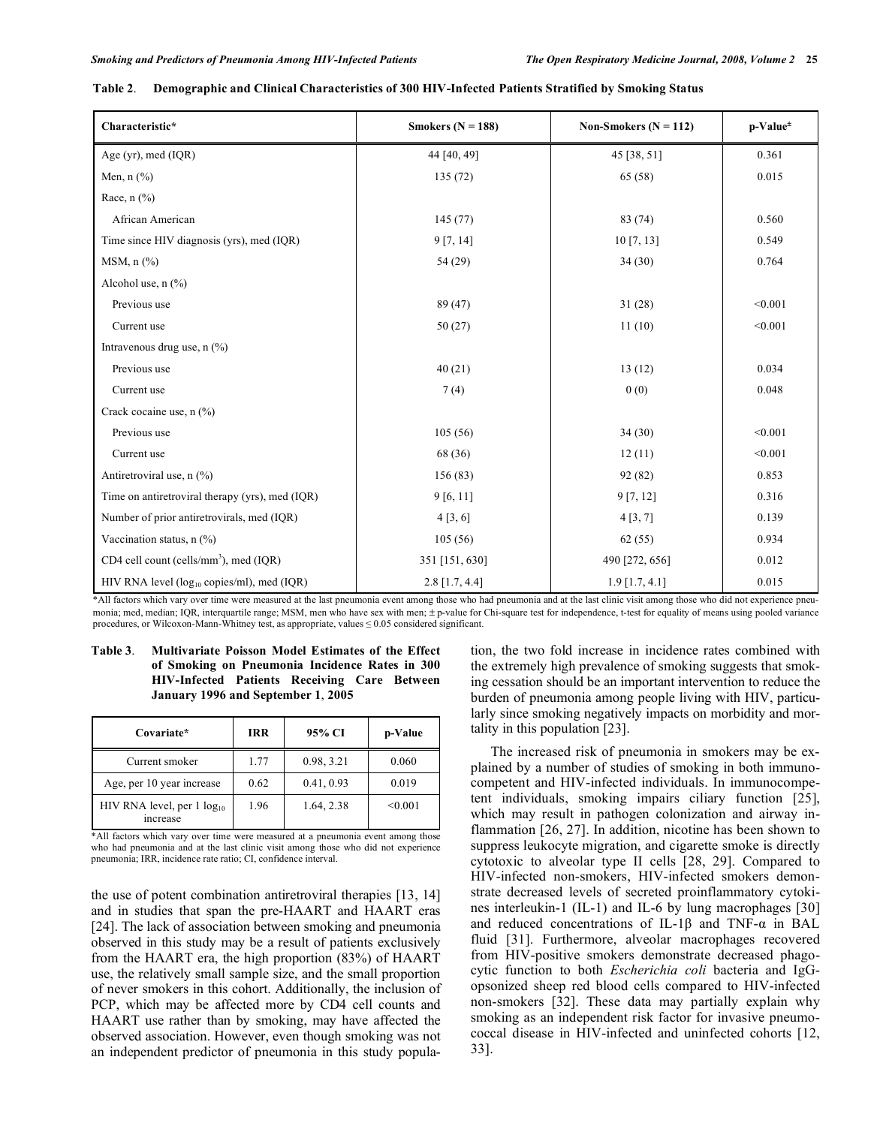| Characteristic*                                        | Smokers $(N = 188)$ | Non-Smokers ( $N = 112$ ) | p-Value- |
|--------------------------------------------------------|---------------------|---------------------------|----------|
| Age (yr), med $(IQR)$                                  | 44 [40, 49]         | 45 [38, 51]               | 0.361    |
| Men, $n$ $(\%)$                                        | 135(72)             | 65 (58)                   | 0.015    |
| Race, $n$ $\left(\frac{9}{6}\right)$                   |                     |                           |          |
| African American                                       | 145(77)             | 83 (74)                   | 0.560    |
| Time since HIV diagnosis (yrs), med (IQR)              | 9 [7, 14]           | 10 [7, 13]                | 0.549    |
| $MSM$ , n $(\frac{9}{6})$                              | 54 (29)             | 34(30)                    | 0.764    |
| Alcohol use, $n$ $(\%)$                                |                     |                           |          |
| Previous use                                           | 89(47)              | 31(28)                    | < 0.001  |
| Current use                                            | 50(27)              | 11(10)                    | < 0.001  |
| Intravenous drug use, $n$ (%)                          |                     |                           |          |
| Previous use                                           | 40(21)              | 13(12)                    | 0.034    |
| Current use                                            | 7(4)                | 0(0)                      | 0.048    |
| Crack cocaine use, n (%)                               |                     |                           |          |
| Previous use                                           | 105(56)             | 34(30)                    | < 0.001  |
| Current use                                            | 68 (36)             | 12(11)                    | < 0.001  |
| Antiretroviral use, n (%)                              | 156 (83)            | 92 (82)                   | 0.853    |
| Time on antiretroviral therapy (yrs), med (IQR)        | 9[6, 11]            | 9[7, 12]                  | 0.316    |
| Number of prior antiretrovirals, med (IQR)             | 4 [3, 6]            | 4[3, 7]                   | 0.139    |
| Vaccination status, $n$ (%)                            | 105(56)             | 62(55)                    | 0.934    |
| CD4 cell count (cells/mm <sup>3</sup> ), med (IQR)     | 351 [151, 630]      | 490 [272, 656]            | 0.012    |
| HIV RNA level (log <sub>10</sub> copies/ml), med (IQR) | 2.8 [1.7, 4.4]      | $1.9$ [1.7, 4.1]          | 0.015    |

#### **Table 2**. **Demographic and Clinical Characteristics of 300 HIV-Infected Patients Stratified by Smoking Status**

\*All factors which vary over time were measured at the last pneumonia event among those who had pneumonia and at the last clinic visit among those who did not experience pneumonia; med, median; IQR, interquartile range; MSM, men who have sex with men; ± p-value for Chi-square test for independence, t-test for equality of means using pooled variance procedures, or Wilcoxon-Mann-Whitney test, as appropriate, values  $\leq 0.05$  considered significant.

## **Table 3**. **Multivariate Poisson Model Estimates of the Effect of Smoking on Pneumonia Incidence Rates in 300 HIV-Infected Patients Receiving Care Between January 1996 and September 1**, **2005**

| Covariate*                                  | <b>IRR</b> | 95% CI     | p-Value |
|---------------------------------------------|------------|------------|---------|
| Current smoker                              | 1.77       | 0.98, 3.21 | 0.060   |
| Age, per 10 year increase                   | 0.62       | 0.41, 0.93 | 0.019   |
| HIV RNA level, per 1 $log_{10}$<br>increase | 1.96       | 1.64, 2.38 | < 0.001 |

\*All factors which vary over time were measured at a pneumonia event among those who had pneumonia and at the last clinic visit among those who did not experience pneumonia; IRR, incidence rate ratio; CI, confidence interval.

the use of potent combination antiretroviral therapies [13, 14] and in studies that span the pre-HAART and HAART eras [24]. The lack of association between smoking and pneumonia observed in this study may be a result of patients exclusively from the HAART era, the high proportion (83%) of HAART use, the relatively small sample size, and the small proportion of never smokers in this cohort. Additionally, the inclusion of PCP, which may be affected more by CD4 cell counts and HAART use rather than by smoking, may have affected the observed association. However, even though smoking was not an independent predictor of pneumonia in this study population, the two fold increase in incidence rates combined with the extremely high prevalence of smoking suggests that smoking cessation should be an important intervention to reduce the burden of pneumonia among people living with HIV, particularly since smoking negatively impacts on morbidity and mortality in this population [23].

 The increased risk of pneumonia in smokers may be explained by a number of studies of smoking in both immunocompetent and HIV-infected individuals. In immunocompetent individuals, smoking impairs ciliary function [25], which may result in pathogen colonization and airway inflammation [26, 27]. In addition, nicotine has been shown to suppress leukocyte migration, and cigarette smoke is directly cytotoxic to alveolar type II cells [28, 29]. Compared to HIV-infected non-smokers, HIV-infected smokers demonstrate decreased levels of secreted proinflammatory cytokines interleukin-1 (IL-1) and IL-6 by lung macrophages [30] and reduced concentrations of IL-1 $\beta$  and TNF- $\alpha$  in BAL fluid [31]. Furthermore, alveolar macrophages recovered from HIV-positive smokers demonstrate decreased phagocytic function to both *Escherichia coli* bacteria and IgGopsonized sheep red blood cells compared to HIV-infected non-smokers [32]. These data may partially explain why smoking as an independent risk factor for invasive pneumococcal disease in HIV-infected and uninfected cohorts [12, 33].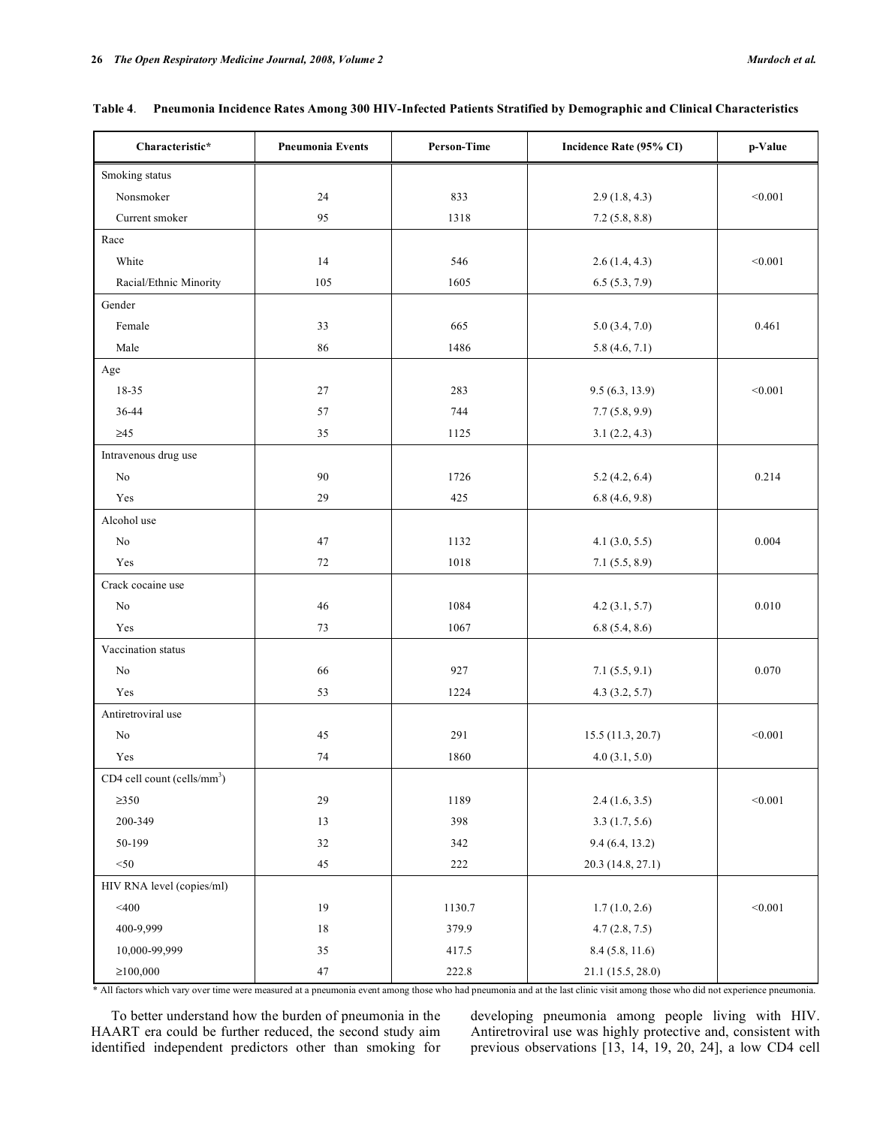| Characteristic*                           | <b>Pneumonia Events</b> | <b>Person-Time</b> | Incidence Rate (95% CI) | p-Value |
|-------------------------------------------|-------------------------|--------------------|-------------------------|---------|
| Smoking status                            |                         |                    |                         |         |
| Nonsmoker                                 | 24                      | 833                | 2.9(1.8, 4.3)           | < 0.001 |
| Current smoker                            | 95                      | 1318               | 7.2(5.8, 8.8)           |         |
| Race                                      |                         |                    |                         |         |
| White                                     | 14                      | 546                | 2.6(1.4, 4.3)           | < 0.001 |
| Racial/Ethnic Minority                    | 105                     | 1605               | 6.5(5.3, 7.9)           |         |
| Gender                                    |                         |                    |                         |         |
| Female                                    | 33                      | 665                | 5.0(3.4, 7.0)           | 0.461   |
| Male                                      | 86                      | 1486               | 5.8(4.6, 7.1)           |         |
| Age                                       |                         |                    |                         |         |
| 18-35                                     | $27\,$                  | 283                | 9.5(6.3, 13.9)          | < 0.001 |
| 36-44                                     | 57                      | 744                | 7.7(5.8, 9.9)           |         |
| $\geq45$                                  | 35                      | 1125               | 3.1(2.2, 4.3)           |         |
| Intravenous drug use                      |                         |                    |                         |         |
| No                                        | 90                      | 1726               | 5.2(4.2, 6.4)           | 0.214   |
| Yes                                       | 29                      | 425                | 6.8(4.6, 9.8)           |         |
| Alcohol use                               |                         |                    |                         |         |
| $\rm No$                                  | 47                      | 1132               | 4.1 (3.0, 5.5)          | 0.004   |
| Yes                                       | 72                      | 1018               | 7.1(5.5, 8.9)           |         |
| Crack cocaine use                         |                         |                    |                         |         |
| $\rm No$                                  | 46                      | 1084               | 4.2(3.1, 5.7)           | 0.010   |
| Yes                                       | 73                      | 1067               | 6.8(5.4, 8.6)           |         |
| Vaccination status                        |                         |                    |                         |         |
| No                                        | 66                      | 927                | 7.1(5.5, 9.1)           | 0.070   |
| Yes                                       | 53                      | 1224               | 4.3(3.2, 5.7)           |         |
| Antiretroviral use                        |                         |                    |                         |         |
| $\rm No$                                  | 45                      | 291                | 15.5(11.3, 20.7)        | < 0.001 |
| Yes                                       | 74                      | 1860               | 4.0(3.1, 5.0)           |         |
| $CD4$ cell count (cells/mm <sup>3</sup> ) |                         |                    |                         |         |
| $\geq 350$                                | 29                      | 1189               | 2.4(1.6, 3.5)           | < 0.001 |
| 200-349                                   | $13\,$                  | 398                | 3.3(1.7, 5.6)           |         |
| 50-199                                    | $32\,$                  | 342                | 9.4 (6.4, 13.2)         |         |
| $<$ 50                                    | 45                      | $222\,$            | 20.3 (14.8, 27.1)       |         |
| HIV RNA level (copies/ml)                 |                         |                    |                         |         |
| $<$ 400                                   | 19                      | 1130.7             | 1.7(1.0, 2.6)           | < 0.001 |
| 400-9,999                                 | $1\,8$                  | 379.9              | 4.7(2.8, 7.5)           |         |
| 10,000-99,999                             | $35\,$                  | 417.5              | 8.4 (5.8, 11.6)         |         |
| $\geq 100,000$                            | $47\,$                  | 222.8              | 21.1 (15.5, 28.0)       |         |

|  |  | Table 4. Pneumonia Incidence Rates Among 300 HIV-Infected Patients Stratified by Demographic and Clinical Characteristics |
|--|--|---------------------------------------------------------------------------------------------------------------------------|
|  |  |                                                                                                                           |

\* All factors which vary over time were measured at a pneumonia event among those who had pneumonia and at the last clinic visit among those who did not experience pneumonia.

 To better understand how the burden of pneumonia in the HAART era could be further reduced, the second study aim identified independent predictors other than smoking for

developing pneumonia among people living with HIV. Antiretroviral use was highly protective and, consistent with previous observations [13, 14, 19, 20, 24], a low CD4 cell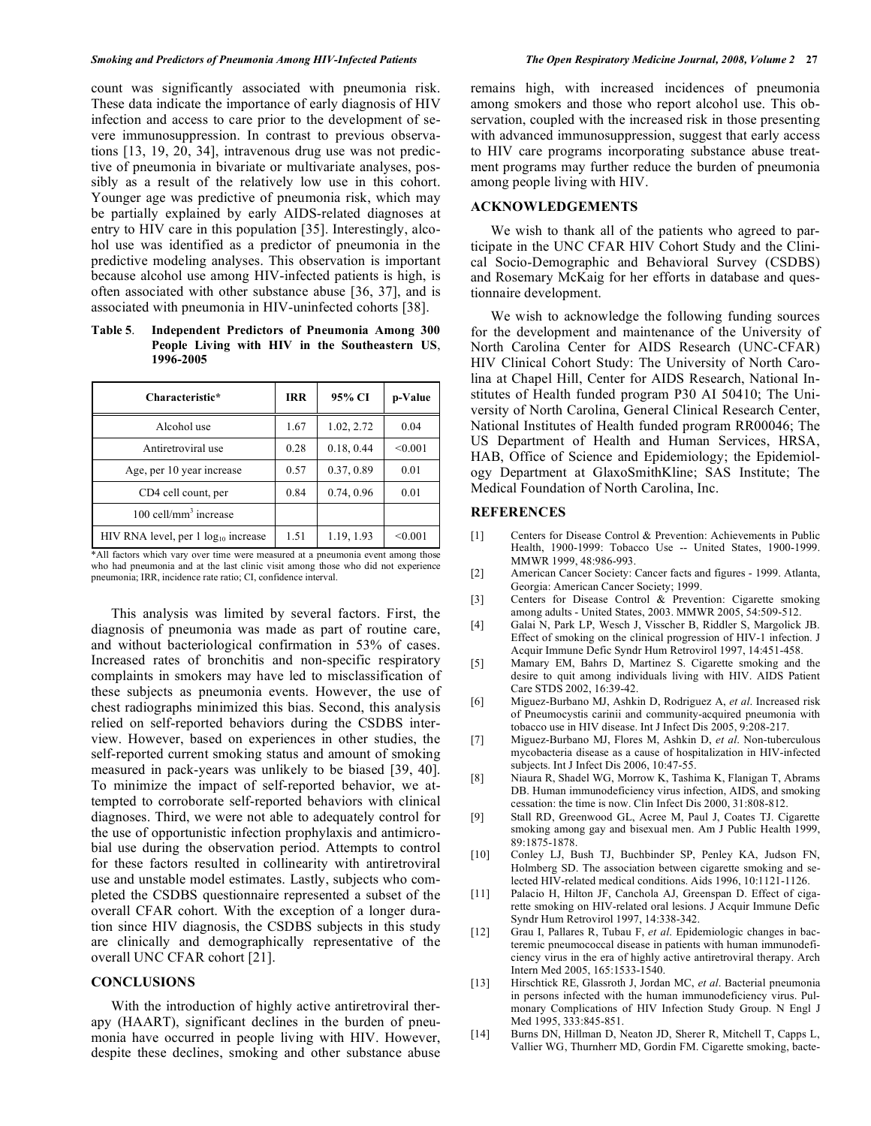count was significantly associated with pneumonia risk. These data indicate the importance of early diagnosis of HIV infection and access to care prior to the development of severe immunosuppression. In contrast to previous observations [13, 19, 20, 34], intravenous drug use was not predictive of pneumonia in bivariate or multivariate analyses, possibly as a result of the relatively low use in this cohort. Younger age was predictive of pneumonia risk, which may be partially explained by early AIDS-related diagnoses at entry to HIV care in this population [35]. Interestingly, alcohol use was identified as a predictor of pneumonia in the predictive modeling analyses. This observation is important because alcohol use among HIV-infected patients is high, is often associated with other substance abuse [36, 37], and is associated with pneumonia in HIV-uninfected cohorts [38].

**Table 5**. **Independent Predictors of Pneumonia Among 300 People Living with HIV in the Southeastern US**, **1996-2005** 

| Characteristic*                          | <b>IRR</b> | 95% CI     | p-Value |
|------------------------------------------|------------|------------|---------|
| Alcohol use                              | 1.67       | 1.02, 2.72 | 0.04    |
| Antiretroviral use                       | 0.28       | 0.18, 0.44 | < 0.001 |
| Age, per 10 year increase                | 0.57       | 0.37, 0.89 | 0.01    |
| CD4 cell count, per                      | 0.84       | 0.74, 0.96 | 0.01    |
| $100$ cell/mm <sup>3</sup> increase      |            |            |         |
| HIV RNA level, per $1 log_{10}$ increase | 1.51       | 1.19, 1.93 | < 0.001 |

\*All factors which vary over time were measured at a pneumonia event among those who had pneumonia and at the last clinic visit among those who did not experience pneumonia; IRR, incidence rate ratio; CI, confidence interval.

 This analysis was limited by several factors. First, the diagnosis of pneumonia was made as part of routine care, and without bacteriological confirmation in 53% of cases. Increased rates of bronchitis and non-specific respiratory complaints in smokers may have led to misclassification of these subjects as pneumonia events. However, the use of chest radiographs minimized this bias. Second, this analysis relied on self-reported behaviors during the CSDBS interview. However, based on experiences in other studies, the self-reported current smoking status and amount of smoking measured in pack-years was unlikely to be biased [39, 40]. To minimize the impact of self-reported behavior, we attempted to corroborate self-reported behaviors with clinical diagnoses. Third, we were not able to adequately control for the use of opportunistic infection prophylaxis and antimicrobial use during the observation period. Attempts to control for these factors resulted in collinearity with antiretroviral use and unstable model estimates. Lastly, subjects who completed the CSDBS questionnaire represented a subset of the overall CFAR cohort. With the exception of a longer duration since HIV diagnosis, the CSDBS subjects in this study are clinically and demographically representative of the overall UNC CFAR cohort [21].

## **CONCLUSIONS**

 With the introduction of highly active antiretroviral therapy (HAART), significant declines in the burden of pneumonia have occurred in people living with HIV. However, despite these declines, smoking and other substance abuse remains high, with increased incidences of pneumonia among smokers and those who report alcohol use. This observation, coupled with the increased risk in those presenting with advanced immunosuppression, suggest that early access to HIV care programs incorporating substance abuse treatment programs may further reduce the burden of pneumonia among people living with HIV.

## **ACKNOWLEDGEMENTS**

 We wish to thank all of the patients who agreed to participate in the UNC CFAR HIV Cohort Study and the Clinical Socio-Demographic and Behavioral Survey (CSDBS) and Rosemary McKaig for her efforts in database and questionnaire development.

 We wish to acknowledge the following funding sources for the development and maintenance of the University of North Carolina Center for AIDS Research (UNC-CFAR) HIV Clinical Cohort Study: The University of North Carolina at Chapel Hill, Center for AIDS Research, National Institutes of Health funded program P30 AI 50410; The University of North Carolina, General Clinical Research Center, National Institutes of Health funded program RR00046; The US Department of Health and Human Services, HRSA, HAB, Office of Science and Epidemiology; the Epidemiology Department at GlaxoSmithKline; SAS Institute; The Medical Foundation of North Carolina, Inc.

#### **REFERENCES**

- [1] Centers for Disease Control & Prevention: Achievements in Public Health, 1900-1999: Tobacco Use -- United States, 1900-1999. MMWR 1999, 48:986-993.
- [2] American Cancer Society: Cancer facts and figures 1999. Atlanta, Georgia: American Cancer Society; 1999.
- [3] Centers for Disease Control & Prevention: Cigarette smoking among adults - United States, 2003. MMWR 2005, 54:509-512.
- [4] Galai N, Park LP, Wesch J, Visscher B, Riddler S, Margolick JB. Effect of smoking on the clinical progression of HIV-1 infection. J Acquir Immune Defic Syndr Hum Retrovirol 1997, 14:451-458.
- [5] Mamary EM, Bahrs D, Martinez S. Cigarette smoking and the desire to quit among individuals living with HIV. AIDS Patient Care STDS 2002, 16:39-42.
- [6] Miguez-Burbano MJ, Ashkin D, Rodriguez A, *et al*. Increased risk of Pneumocystis carinii and community-acquired pneumonia with tobacco use in HIV disease. Int J Infect Dis 2005, 9:208-217.
- [7] Miguez-Burbano MJ, Flores M, Ashkin D, *et al*. Non-tuberculous mycobacteria disease as a cause of hospitalization in HIV-infected subjects. Int J Infect Dis 2006, 10:47-55.
- [8] Niaura R, Shadel WG, Morrow K, Tashima K, Flanigan T, Abrams DB. Human immunodeficiency virus infection, AIDS, and smoking cessation: the time is now. Clin Infect Dis 2000, 31:808-812.
- [9] Stall RD, Greenwood GL, Acree M, Paul J, Coates TJ. Cigarette smoking among gay and bisexual men. Am J Public Health 1999, 89:1875-1878.
- [10] Conley LJ, Bush TJ, Buchbinder SP, Penley KA, Judson FN, Holmberg SD. The association between cigarette smoking and selected HIV-related medical conditions. Aids 1996, 10:1121-1126.
- [11] Palacio H, Hilton JF, Canchola AJ, Greenspan D. Effect of cigarette smoking on HIV-related oral lesions. J Acquir Immune Defic Syndr Hum Retrovirol 1997, 14:338-342.
- [12] Grau I, Pallares R, Tubau F, *et al*. Epidemiologic changes in bacteremic pneumococcal disease in patients with human immunodeficiency virus in the era of highly active antiretroviral therapy. Arch Intern Med 2005, 165:1533-1540.
- [13] Hirschtick RE, Glassroth J, Jordan MC, *et al*. Bacterial pneumonia in persons infected with the human immunodeficiency virus. Pulmonary Complications of HIV Infection Study Group. N Engl J Med 1995, 333:845-851.
- [14] Burns DN, Hillman D, Neaton JD, Sherer R, Mitchell T, Capps L, Vallier WG, Thurnherr MD, Gordin FM. Cigarette smoking, bacte-